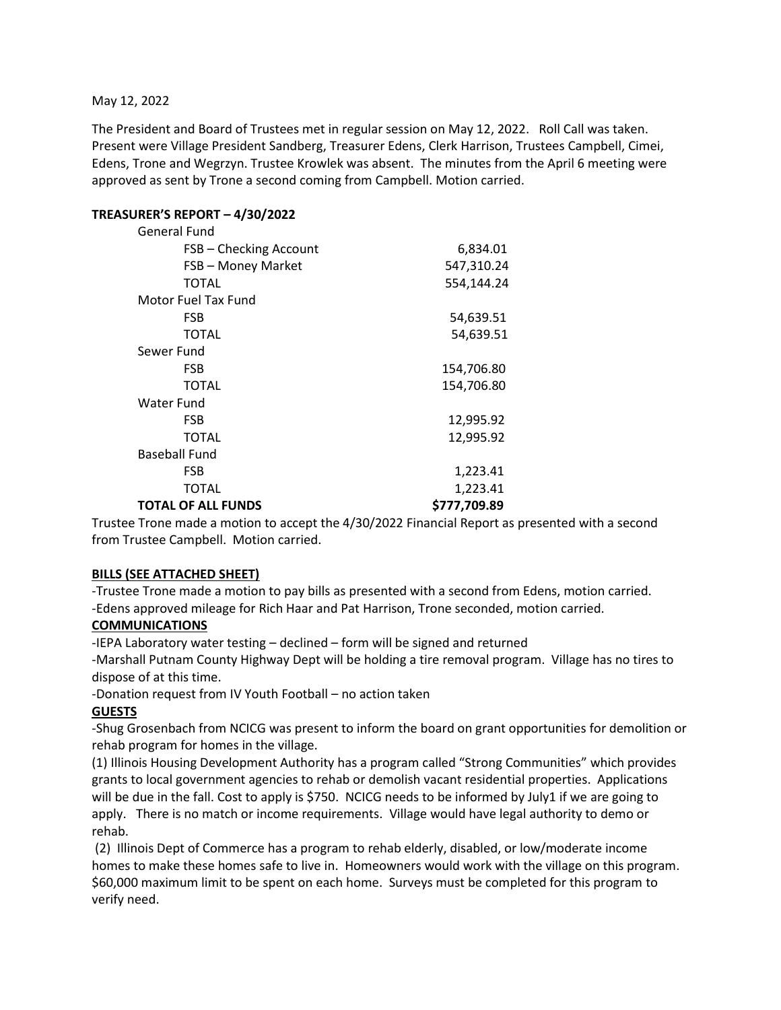#### May 12, 2022

The President and Board of Trustees met in regular session on May 12, 2022. Roll Call was taken. Present were Village President Sandberg, Treasurer Edens, Clerk Harrison, Trustees Campbell, Cimei, Edens, Trone and Wegrzyn. Trustee Krowlek was absent. The minutes from the April 6 meeting were approved as sent by Trone a second coming from Campbell. Motion carried.

### **TREASURER'S REPORT – 4/30/2022**

| General Fund              |              |
|---------------------------|--------------|
| FSB - Checking Account    | 6,834.01     |
| FSB - Money Market        | 547,310.24   |
| <b>TOTAL</b>              | 554,144.24   |
| Motor Fuel Tax Fund       |              |
| FSB                       | 54,639.51    |
| <b>TOTAL</b>              | 54,639.51    |
| Sewer Fund                |              |
| <b>FSB</b>                | 154,706.80   |
| <b>TOTAL</b>              | 154,706.80   |
| Water Fund                |              |
| <b>FSB</b>                | 12,995.92    |
| TOTAL                     | 12,995.92    |
| Baseball Fund             |              |
| FSB                       | 1,223.41     |
| TOTAL                     | 1,223.41     |
| <b>TOTAL OF ALL FUNDS</b> | \$777,709.89 |

Trustee Trone made a motion to accept the 4/30/2022 Financial Report as presented with a second from Trustee Campbell. Motion carried.

#### **BILLS (SEE ATTACHED SHEET)**

-Trustee Trone made a motion to pay bills as presented with a second from Edens, motion carried. -Edens approved mileage for Rich Haar and Pat Harrison, Trone seconded, motion carried.

#### **COMMUNICATIONS**

-IEPA Laboratory water testing – declined – form will be signed and returned

-Marshall Putnam County Highway Dept will be holding a tire removal program. Village has no tires to dispose of at this time.

-Donation request from IV Youth Football – no action taken

#### **GUESTS**

-Shug Grosenbach from NCICG was present to inform the board on grant opportunities for demolition or rehab program for homes in the village.

(1) Illinois Housing Development Authority has a program called "Strong Communities" which provides grants to local government agencies to rehab or demolish vacant residential properties. Applications will be due in the fall. Cost to apply is \$750. NCICG needs to be informed by July1 if we are going to apply. There is no match or income requirements. Village would have legal authority to demo or rehab.

(2) Illinois Dept of Commerce has a program to rehab elderly, disabled, or low/moderate income homes to make these homes safe to live in. Homeowners would work with the village on this program. \$60,000 maximum limit to be spent on each home. Surveys must be completed for this program to verify need.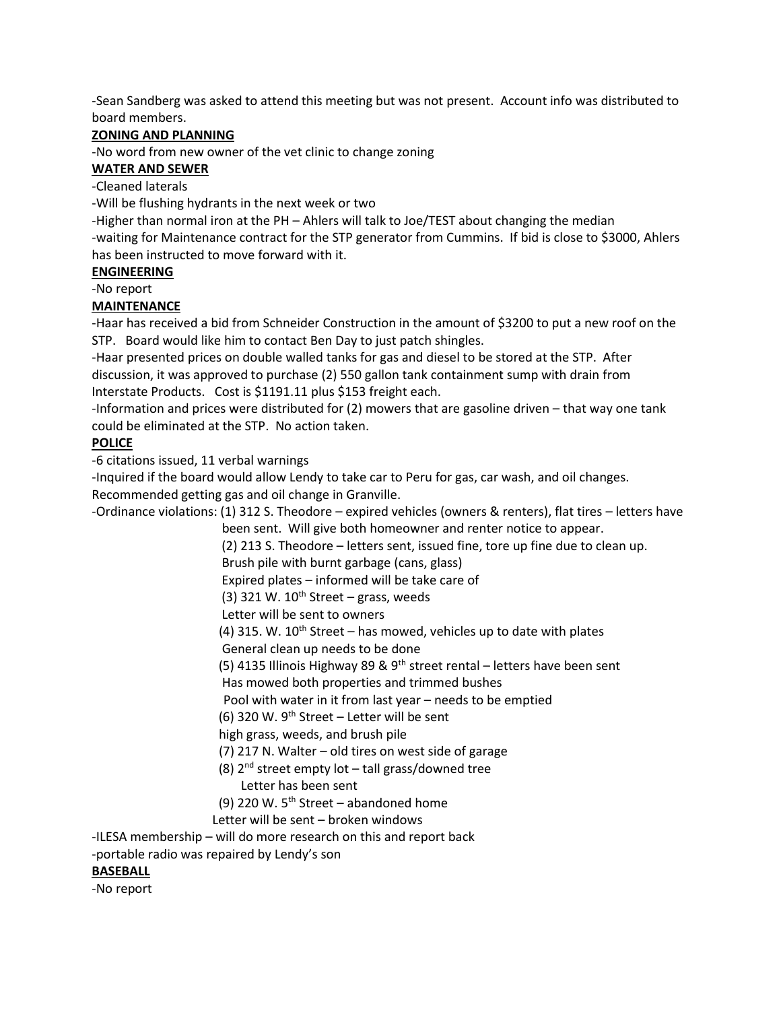-Sean Sandberg was asked to attend this meeting but was not present. Account info was distributed to board members.

### **ZONING AND PLANNING**

-No word from new owner of the vet clinic to change zoning

## **WATER AND SEWER**

-Cleaned laterals

-Will be flushing hydrants in the next week or two

-Higher than normal iron at the PH – Ahlers will talk to Joe/TEST about changing the median

-waiting for Maintenance contract for the STP generator from Cummins. If bid is close to \$3000, Ahlers has been instructed to move forward with it.

#### **ENGINEERING**

-No report

#### **MAINTENANCE**

-Haar has received a bid from Schneider Construction in the amount of \$3200 to put a new roof on the STP. Board would like him to contact Ben Day to just patch shingles.

-Haar presented prices on double walled tanks for gas and diesel to be stored at the STP. After discussion, it was approved to purchase (2) 550 gallon tank containment sump with drain from Interstate Products. Cost is \$1191.11 plus \$153 freight each.

-Information and prices were distributed for (2) mowers that are gasoline driven – that way one tank could be eliminated at the STP. No action taken.

## **POLICE**

-6 citations issued, 11 verbal warnings

-Inquired if the board would allow Lendy to take car to Peru for gas, car wash, and oil changes. Recommended getting gas and oil change in Granville.

-Ordinance violations: (1) 312 S. Theodore – expired vehicles (owners & renters), flat tires – letters have been sent. Will give both homeowner and renter notice to appear.

(2) 213 S. Theodore – letters sent, issued fine, tore up fine due to clean up.

Brush pile with burnt garbage (cans, glass)

Expired plates – informed will be take care of

(3) 321 W.  $10^{th}$  Street – grass, weeds

Letter will be sent to owners

(4) 315. W.  $10^{th}$  Street – has mowed, vehicles up to date with plates

General clean up needs to be done

(5) 4135 Illinois Highway 89 & 9<sup>th</sup> street rental – letters have been sent

Has mowed both properties and trimmed bushes

Pool with water in it from last year – needs to be emptied

(6) 320 W.  $9^{th}$  Street – Letter will be sent

high grass, weeds, and brush pile

(7) 217 N. Walter – old tires on west side of garage

(8)  $2^{nd}$  street empty lot – tall grass/downed tree

# Letter has been sent

(9) 220 W.  $5<sup>th</sup>$  Street – abandoned home

Letter will be sent – broken windows

-ILESA membership – will do more research on this and report back

-portable radio was repaired by Lendy's son

#### **BASEBALL**

-No report